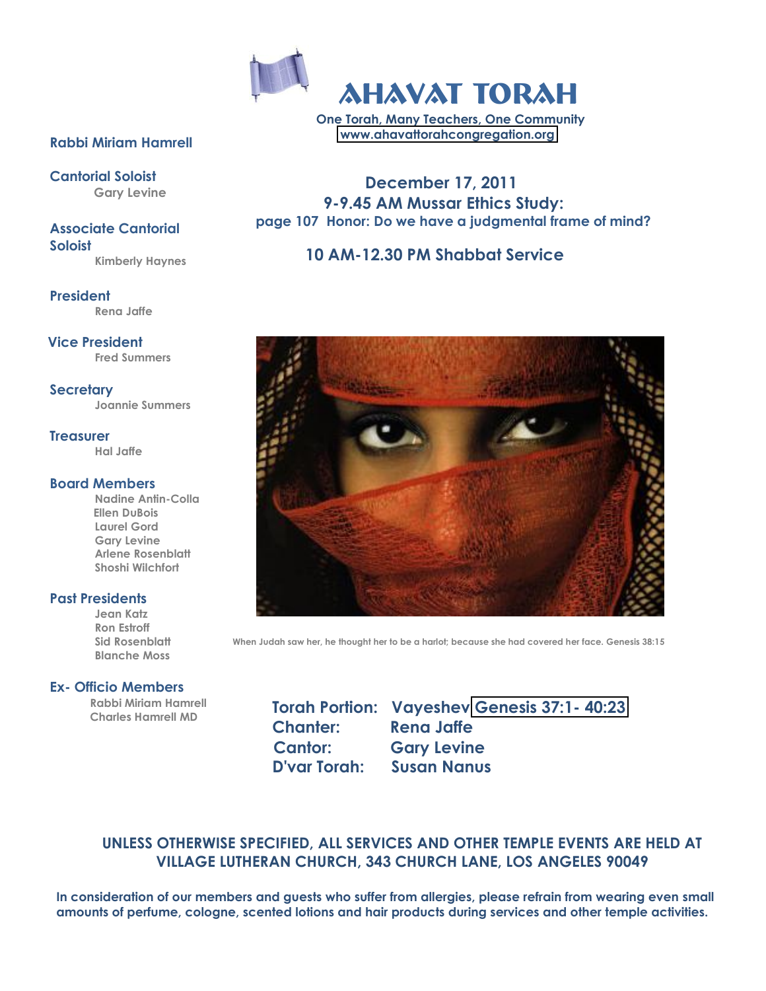

**One Torah, Many Teachers, One Community [www.ahavattorahcongregation.org](http://www.ahavattorahcongregation.org/)**

#### **Rabbi Miriam Hamrell**

**Cantorial Soloist Gary Levine**

**Associate Cantorial Soloist Kimberly Haynes**

**President Rena Jaffe**

**Vice President Fred Summers**

**Secretary Joannie Summers**

**Treasurer Hal Jaffe**

#### **Board Members**

**Nadine Antin?Colla Ellen DuBois Laurel Gord Gary Levine Arlene Rosenblatt Shoshi Wilchfort**

#### **Past Presidents**

**Jean Katz Ron Estroff Sid Rosenblatt Blanche Moss**

#### **Ex? Officio Members**

 **Rabbi Miriam Hamrell Charles Hamrell MD**

 **December 17, 2011 9?9.45 AM Mussar Ethics Study: page 107 Honor: Do we have a judgmental frame of mind?**

#### **10 AM?12.30 PM Shabbat Service**



When Judah saw her, he thought her to be a harlot; because she had covered her face. Genesis 38:15

**Chanter: Rena Jaffe**

**Torah Portion: Vayeshev [Genesis 37:1?](http://www.biblegateway.com/cgi-bin/bible?&version=ESV&passage=Gen+37:1-40:23) 40:23 Cantor: Gary Levine D'var Torah: Susan Nanus**

#### **UNLESS OTHERWISE SPECIFIED, ALL SERVICES AND OTHER TEMPLE EVENTS ARE HELD AT VILLAGE LUTHERAN CHURCH, 343 CHURCH LANE, LOS ANGELES 90049**

**In consideration of our members and guests who suffer from allergies, please refrain from wearing even small amounts of perfume, cologne, scented lotions and hair products during services and other temple activities.**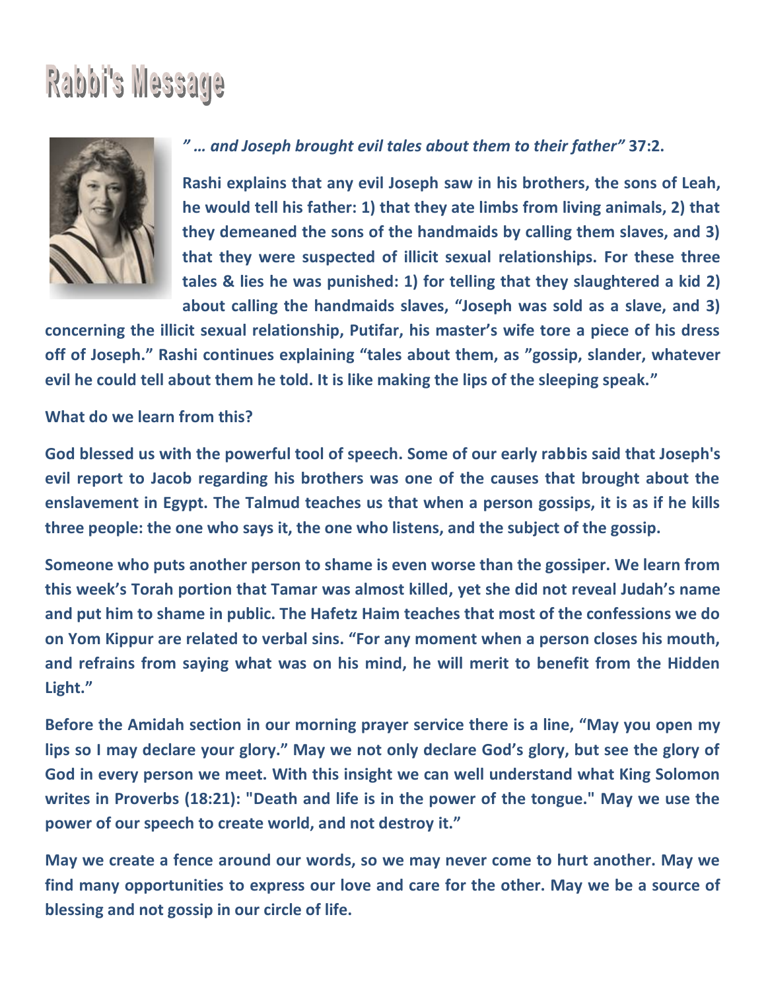# Rabbi's Message



#### "... and Joseph brought evil tales about them to their father" 37:2.

Rashi explains that any evil Joseph saw in his brothers, the sons of Leah, he would tell his father: 1) that they ate limbs from living animals, 2) that they demeaned the sons of the handmaids by calling them slaves, and 3) that they were suspected of illicit sexual relationships. For these three tales & lies he was punished: 1) for telling that they slaughtered a kid 2) about calling the handmaids slaves, "Joseph was sold as a slave, and 3)

concerning the illicit sexual relationship, Putifar, his master's wife tore a piece of his dress off of Joseph." Rashi continues explaining "tales about them, as "gossip, slander, whatever evil he could tell about them he told. It is like making the lips of the sleeping speak."

#### What do we learn from this?

God blessed us with the powerful tool of speech. Some of our early rabbis said that Joseph's evil report to Jacob regarding his brothers was one of the causes that brought about the enslavement in Egypt. The Talmud teaches us that when a person gossips, it is as if he kills three people: the one who says it, the one who listens, and the subject of the gossip.

Someone who puts another person to shame is even worse than the gossiper. We learn from this week's Torah portion that Tamar was almost killed, yet she did not reveal Judah's name and put him to shame in public. The Hafetz Haim teaches that most of the confessions we do on Yom Kippur are related to verbal sins. "For any moment when a person closes his mouth, and refrains from saying what was on his mind, he will merit to benefit from the Hidden Light."

Before the Amidah section in our morning prayer service there is a line, "May you open my lips so I may declare your glory." May we not only declare God's glory, but see the glory of God in every person we meet. With this insight we can well understand what King Solomon writes in Proverbs (18:21): "Death and life is in the power of the tongue." May we use the power of our speech to create world, and not destroy it."

May we create a fence around our words, so we may never come to hurt another. May we find many opportunities to express our love and care for the other. May we be a source of blessing and not gossip in our circle of life.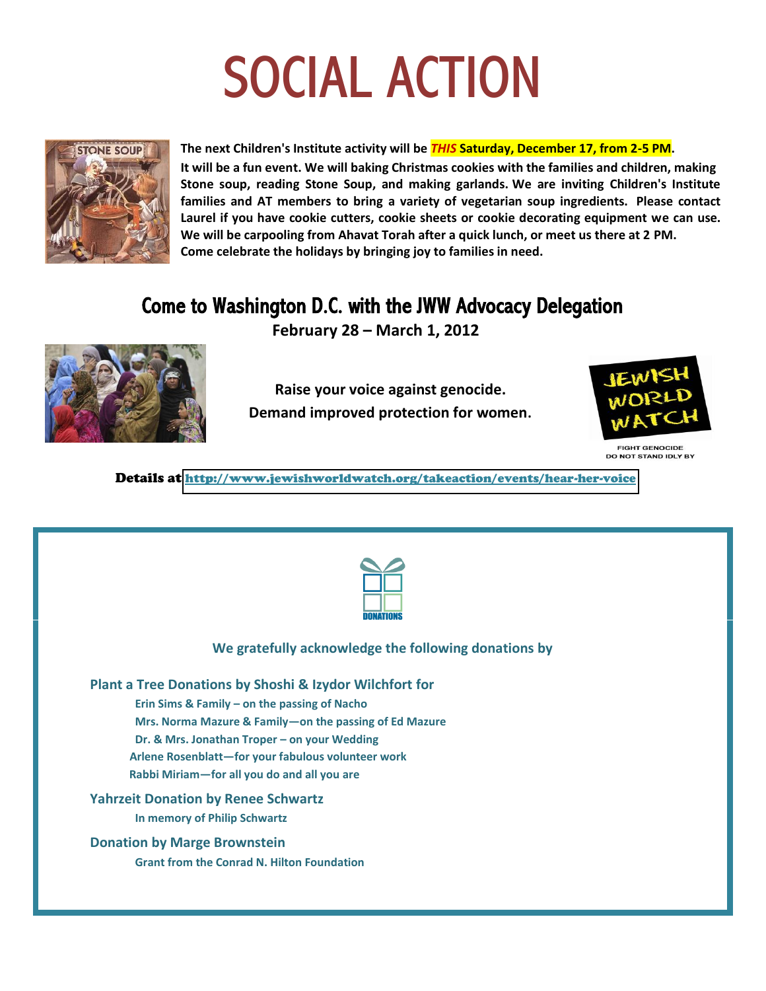# **SOCIAL ACTION**



The next Children's Institute activity will be **THIS Saturday, December 17, from 2-5 PM**. It will be a fun event. We will baking Christmas cookies with the families and children, making Stone soup, reading Stone Soup, and making garlands. We are inviting Children's Institute families and AT members to bring a variety of vegetarian soup ingredients. Please contact Laurel if you have cookie cutters, cookie sheets or cookie decorating equipment we can use. We will be carpooling from Ahavat Torah after a quick lunch, or meet us there at 2 PM. Come celebrate the holidays by bringing joy to families in need.

### Come to Washington D.C. with the JWW Advocacy Delegation

February 28 - March 1, 2012



Raise your voice against genocide. Demand improved protection for women.



**FIGHT GENOCIDE DO NOT STAND IDLY BY** 

Details at http://www.jewishworldwatch.org/takeaction/events/hear-her-voice

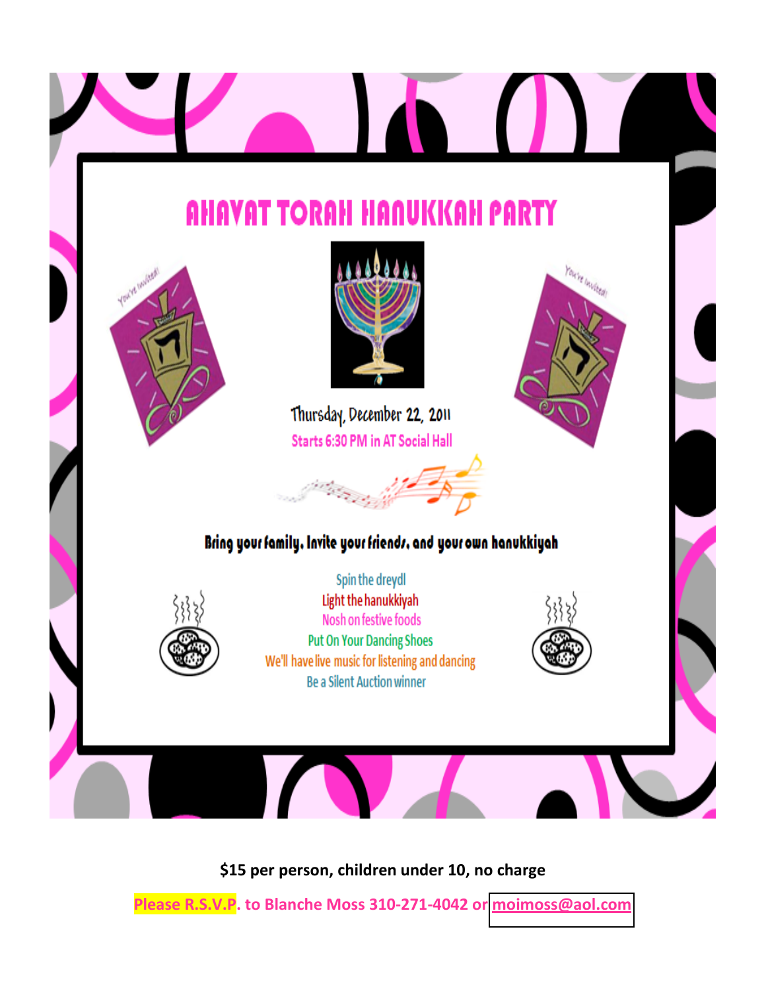

\$15 per person, children under 10, no charge

Please R.S.V.P. to Blanche Moss 310-271-4042 or moimoss@aol.com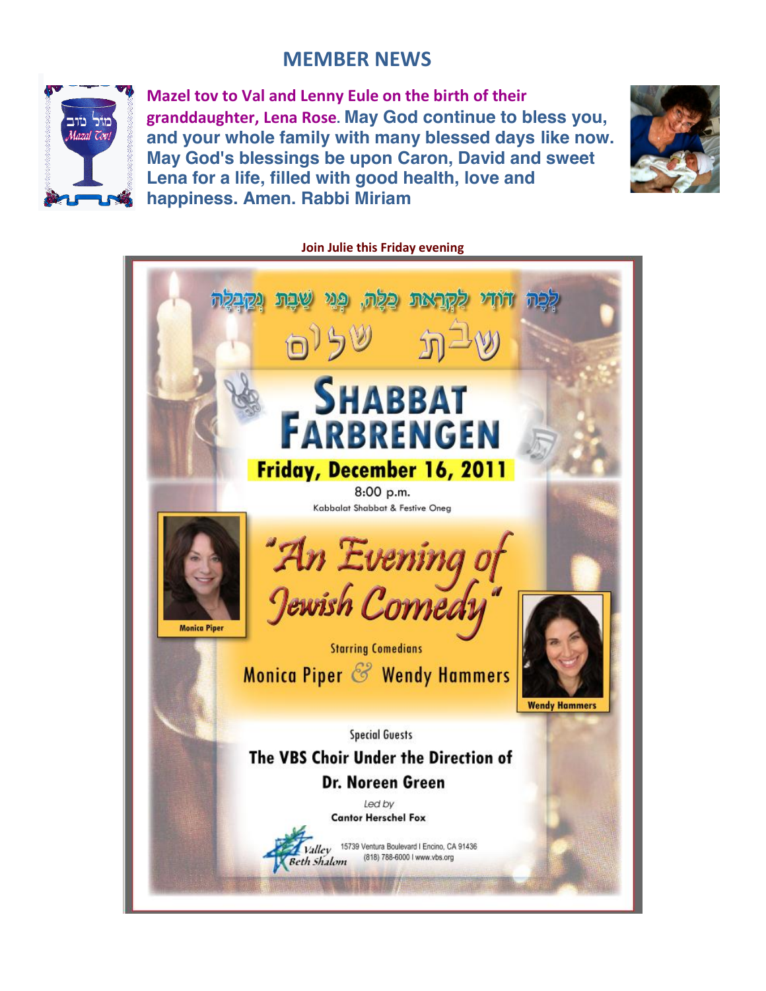#### **!!!!!!!!!!!!!!!!!!!!!!!!!!!!!!!!!!!!!!!!!!!!!!!!!!!!!!!!!!!!!!!!!!!!!!MEMBER NEWS**



**Mazel tov to Val and Lenny Eule on the birth of their granddaughter, Lena!Rose. May God continue to bless you, and your whole family with many blessed days like now. May God's blessings be upon Caron, David and sweet Lena for a life, filled with good health, love and happiness. Amen. Rabbi Miriam**